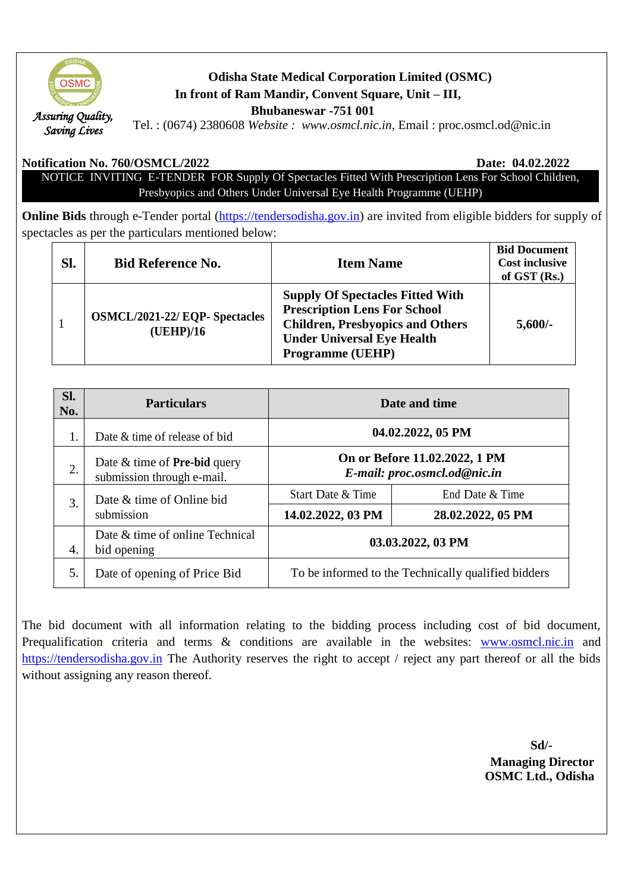

# **Odisha State Medical Corporation Limited (OSMC) In front of Ram Mandir, Convent Square, Unit – III, Bhubaneswar -751 001**

Tel. : (0674) 2380608 *Website : www.osmcl.nic.in,* Email : proc.osmcl.od@nic.in

#### **Notification No. 760/OSMCL/2022 Date: 04.02.2022**

NOTICE INVITING E-TENDER FOR Supply Of Spectacles Fitted With Prescription Lens For School Children, Presbyopics and Others Under Universal Eye Health Programme (UEHP)

**Online Bids** through e-Tender portal [\(https://tendersodisha.gov.in\)](https://tendersodisha.gov.in/) are invited from eligible bidders for supply of spectacles as per the particulars mentioned below:

| SI. | <b>Bid Reference No.</b>                           | <b>Item Name</b>                                                                                                                                                                          | <b>Bid Document</b><br><b>Cost inclusive</b><br>of GST $(Rs.)$ |
|-----|----------------------------------------------------|-------------------------------------------------------------------------------------------------------------------------------------------------------------------------------------------|----------------------------------------------------------------|
|     | <b>OSMCL/2021-22/ EQP- Spectacles</b><br>(UEHP)/16 | <b>Supply Of Spectacles Fitted With</b><br><b>Prescription Lens For School</b><br><b>Children, Presbyopics and Others</b><br><b>Under Universal Eye Health</b><br><b>Programme (UEHP)</b> | $5,600/$ -                                                     |

| Sl.<br>No. | <b>Particulars</b>                                                  | Date and time                                                 |                   |
|------------|---------------------------------------------------------------------|---------------------------------------------------------------|-------------------|
|            | Date & time of release of bid                                       | 04.02.2022, 05 PM                                             |                   |
| 2.         | Date $&$ time of <b>Pre-bid</b> query<br>submission through e-mail. | On or Before 11.02.2022, 1 PM<br>E-mail: proc.osmcl.od@nic.in |                   |
| 3.         | Date & time of Online bid<br>submission                             | Start Date & Time                                             | End Date & Time   |
|            |                                                                     | 14.02.2022, 03 PM                                             | 28.02.2022, 05 PM |
| 4.         | Date & time of online Technical<br>bid opening                      | 03.03.2022, 03 PM                                             |                   |
| 5.         | Date of opening of Price Bid                                        | To be informed to the Technically qualified bidders           |                   |

The bid document with all information relating to the bidding process including cost of bid document, Prequalification criteria and terms & conditions are available in the websites: [www.osmcl.nic.in](http://www.osmcl.nic.in/) and [https://tendersodisha.gov.in](https://tendersodisha.gov.in/) The Authority reserves the right to accept / reject any part thereof or all the bids without assigning any reason thereof.

 **Sd/- Managing Director OSMC Ltd., Odisha**